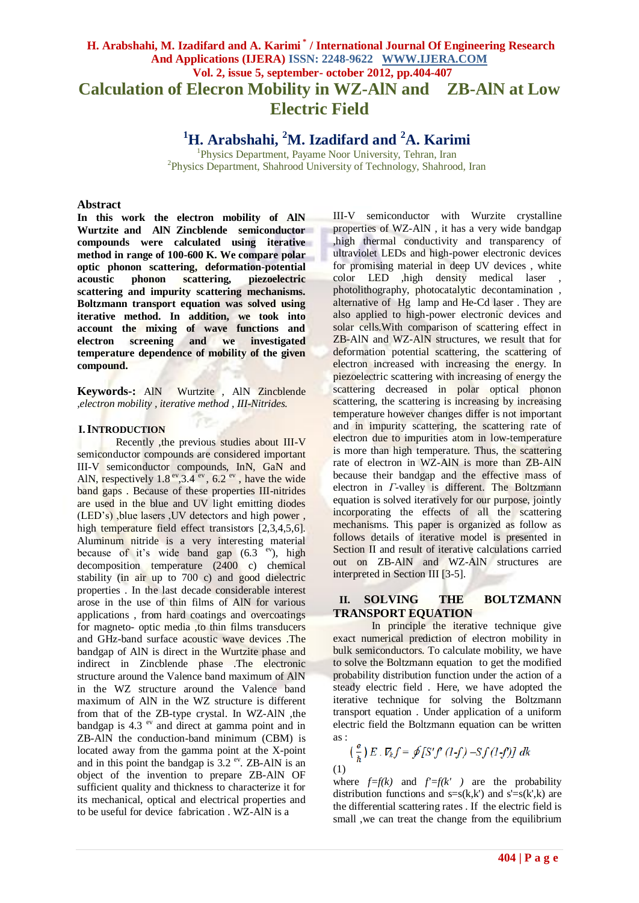# **H. Arabshahi, M. Izadifard and A. Karimi \* / International Journal Of Engineering Research And Applications (IJERA) ISSN: 2248-9622 WWW.IJERA.COM Vol. 2, issue 5, september- october 2012, pp.404-407 Calculation of Elecron Mobility in WZ-AlN and ZB-AlN at Low Electric Field**

**<sup>1</sup>H. Arabshahi, <sup>2</sup>M. Izadifard and <sup>2</sup>A. Karimi**

<sup>1</sup>Physics Department, Payame Noor University, Tehran, Iran 2 Physics Department, Shahrood University of Technology, Shahrood, Iran

#### **Abstract**

**In this work the electron mobility of AlN Wurtzite and AlN Zincblende semiconductor compounds were calculated using iterative method in range of 100-600 K. We compare polar optic phonon scattering, deformation-potential acoustic phonon scattering, piezoelectric scattering and impurity scattering mechanisms. Boltzmann transport equation was solved using iterative method. In addition, we took into account the mixing of wave functions and electron screening and we investigated temperature dependence of mobility of the given compound.**

**Keywords-:** AlN Wurtzite , AlN Zincblende *,electron mobility , iterative method , III-Nitrides.*

# **I. INTRODUCTION**

Recently ,the previous studies about III-V semiconductor compounds are considered important III-V semiconductor compounds, InN, GaN and AlN, respectively  $1.8<sup>ev</sup>, 3.4<sup>ev</sup>$ , 6.2<sup>ev</sup>, have the wide band gaps . Because of these properties III-nitrides are used in the blue and UV light emitting diodes (LED's) ,blue lasers ,UV detectors and high power , high temperature field effect transistors [2,3,4,5,6]. Aluminum nitride is a very interesting material because of it's wide band gap  $(6.3 e^{v})$ , high decomposition temperature (2400 c) chemical stability (in air up to 700 c) and good dielectric properties . In the last decade considerable interest arose in the use of thin films of AlN for various applications , from hard coatings and overcoatings for magneto- optic media ,to thin films transducers and GHz-band surface acoustic wave devices .The bandgap of AlN is direct in the Wurtzite phase and indirect in Zincblende phase .The electronic structure around the Valence band maximum of AlN in the WZ structure around the Valence band maximum of AlN in the WZ structure is different from that of the ZB-type crystal. In WZ-AlN ,the bandgap is 4.3  $e<sup>v</sup>$  and direct at gamma point and in ZB-AlN the conduction-band minimum (CBM) is located away from the gamma point at the X-point and in this point the bandgap is  $3.2<sup>ev</sup>$ . ZB-AlN is an object of the invention to prepare ZB-AlN OF sufficient quality and thickness to characterize it for its mechanical, optical and electrical properties and to be useful for device fabrication . WZ-AlN is a

III-V semiconductor with Wurzite crystalline properties of WZ-AlN , it has a very wide bandgap ,high thermal conductivity and transparency of ultraviolet LEDs and high-power electronic devices for promising material in deep UV devices , white color LED ,high density medical laser photolithography, photocatalytic decontamination , alternative of Hg lamp and He-Cd laser . They are also applied to high-power electronic devices and solar cells.With comparison of scattering effect in ZB-AlN and WZ-AlN structures, we result that for deformation potential scattering, the scattering of electron increased with increasing the energy. In piezoelectric scattering with increasing of energy the scattering decreased in polar optical phonon scattering, the scattering is increasing by increasing temperature however changes differ is not important and in impurity scattering, the scattering rate of electron due to impurities atom in low-temperature is more than high temperature. Thus, the scattering rate of electron in WZ-AlN is more than ZB-AlN because their bandgap and the effective mass of electron in *Γ*-valley is different. The Boltzmann equation is solved iteratively for our purpose, jointly incorporating the effects of all the scattering mechanisms. This paper is organized as follow as follows details of iterative model is presented in Section II and result of iterative calculations carried out on ZB-AlN and WZ-AlN structures are interpreted in Section III [3-5].

### **II. SOLVING THE BOLTZMANN TRANSPORT EQUATION**

In principle the iterative technique give exact numerical prediction of electron mobility in bulk semiconductors. To calculate mobility, we have to solve the Boltzmann equation to get the modified probability distribution function under the action of a steady electric field . Here, we have adopted the iterative technique for solving the Boltzmann transport equation . Under application of a uniform electric field the Boltzmann equation can be written as :

$$
\left(\frac{e}{\hbar}\right)E \cdot \nabla_{k} f = \oint [S'f'(1-f) - Sf(1-f)] \, dk
$$
\n(1)

where  $f=f(k)$  and  $f' = f(k')$  are the probability distribution functions and  $s=s(k,k')$  and  $s'=s(k',k)$  are the differential scattering rates . If the electric field is small ,we can treat the change from the equilibrium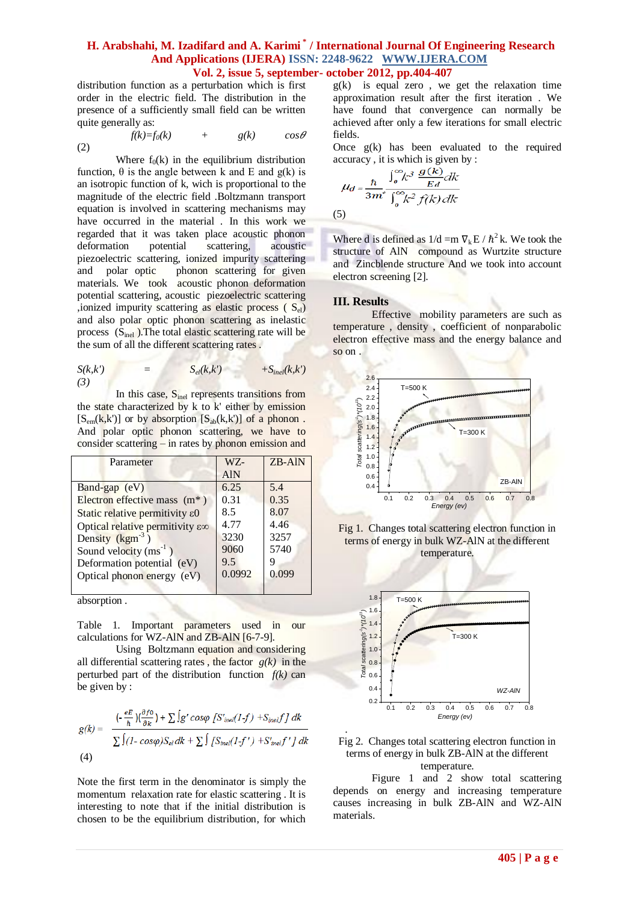### **H. Arabshahi, M. Izadifard and A. Karimi \* / International Journal Of Engineering Research And Applications (IJERA) ISSN: 2248-9622 WWW.IJERA.COM Vol. 2, issue 5, september- october 2012, pp.404-407**

distribution function as a perturbation which is first order in the electric field. The distribution in the presence of a sufficiently small field can be written quite generally as:

$$
f(k)=f_0(k) + g(k) \cos \theta
$$
\n(2)

Where  $f_0(k)$  in the equilibrium distribution function, θ is the angle between k and E and g(k) is an isotropic function of k, wich is proportional to the magnitude of the electric field .Boltzmann transport equation is involved in scattering mechanisms may have occurred in the material . In this work we regarded that it was taken place acoustic phonon deformation potential scattering, acoustic piezoelectric scattering, ionized impurity scattering and polar optic phonon scattering for given materials. We took acoustic phonon deformation potential scattering, acoustic piezoelectric scattering ,ionized impurity scattering as elastic process ( $S_{el}$ ) and also polar optic phonon scattering as inelastic process  $(S<sub>inel</sub>)$ . The total elastic scattering rate will be the sum of all the different scattering rates .

$$
S(k,k') = S_{el}(k,k') + S_{inel}(k,k')
$$

In this case, S<sub>inel</sub> represents transitions from the state characterized by k to k' either by emission  $[S<sub>em</sub>(k,k')]$  or by absorption  $[S<sub>ab</sub>(k,k')]$  of a phonon. And polar optic phonon scattering, we have to consider scattering – in rates by phonon emission and

| Parameter                       | WZ-        | ZB-AIN |
|---------------------------------|------------|--------|
|                                 | <b>AlN</b> |        |
| Band-gap (eV)                   | 6.25       | 5.4    |
| Electron effective mass $(m^*)$ | 0.31       | 0.35   |
| Static relative permitivity ε0  | 8.5        | 8.07   |
| Optical relative permitivity ε∞ | 4.77       | 4.46   |
| Density $(kgm-3)$               | 3230       | 3257   |
| Sound velocity $(ms^{-1})$      | 9060       | 5740   |
| Deformation potential (eV)      | 9.5        |        |
| Optical phonon energy (eV)      | 0.0992     | 0.099  |
|                                 |            |        |

absorption .

Table 1. Important parameters used in our calculations for WZ-AlN and ZB-AlN [6-7-9].

Using Boltzmann equation and considering all differential scattering rates , the factor *g(k)* in the perturbed part of the distribution function  $f(k)$  can be given by :

$$
g(k) = \frac{(-\frac{eE}{\hbar})(\frac{\partial f0}{\partial k}) + \sum \int g' \cos\varphi \left[ S'_{\text{in}el}(1-f) + S_{\text{in}el}f \right] dk}{\sum \int (1 - \cos\varphi) S_{el} dk + \sum \int \int S_{\text{in}el}(1-f') + S'_{\text{in}el}f' \right] dk}
$$
\n(4)

Note the first term in the denominator is simply the momentum relaxation rate for elastic scattering . It is interesting to note that if the initial distribution is chosen to be the equilibrium distribution, for which  $g(k)$  is equal zero, we get the relaxation time approximation result after the first iteration . We have found that convergence can normally be achieved after only a few iterations for small electric fields.

Once  $g(k)$  has been evaluated to the required accuracy , it is which is given by :

$$
u_d = \frac{\hbar}{3m^*} \frac{\int_0^\infty k^3} \frac{g(k)}{Ed} dk}{\int_0^\infty k^2 f(k) dk}
$$

(5)

Where d is defined as  $1/d = m \nabla_k E / \hbar^2 k$ . We took the structure of AlN compound as Wurtzite structure and Zincblende structure And we took into account electron screening [2].

# **III. Results**

Effective mobility parameters are such as temperature , density , coefficient of nonparabolic electron effective mass and the energy balance and so on .









Figure 1 and 2 show total scattering depends on energy and increasing temperature causes increasing in bulk ZB-AlN and WZ-AlN materials.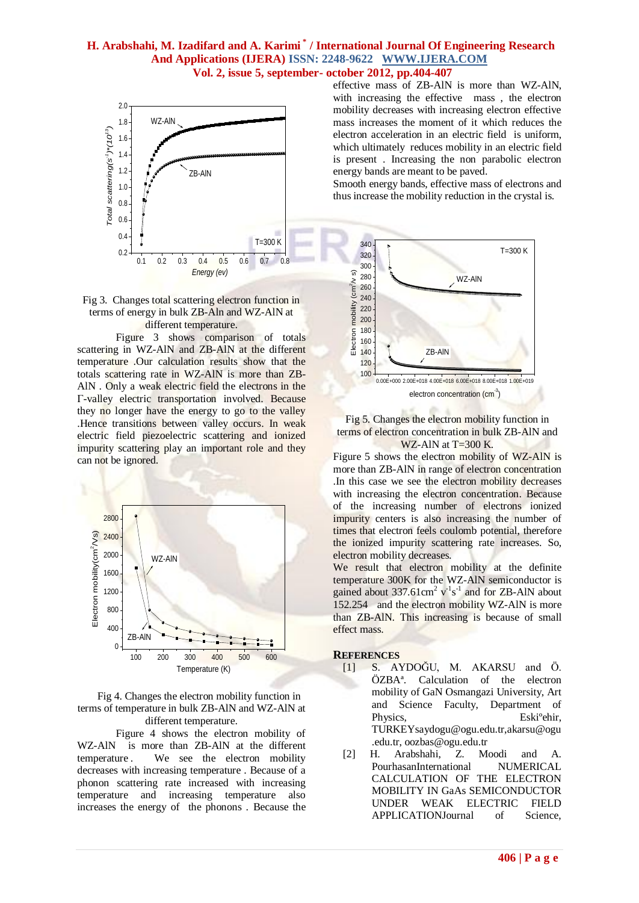# **H. Arabshahi, M. Izadifard and A. Karimi \* / International Journal Of Engineering Research And Applications (IJERA) ISSN: 2248-9622 WWW.IJERA.COM Vol. 2, issue 5, september- october 2012, pp.404-407**





Figure 3 shows comparison of totals scattering in WZ-AlN and ZB-AlN at the different temperature .Our calculation results show that the totals scattering rate in WZ-AlN is more than ZB-AlN . Only a weak electric field the electrons in the Γ-valley electric transportation involved. Because they no longer have the energy to go to the valley .Hence transitions between valley occurs. In weak electric field piezoelectric scattering and ionized impurity scattering play an important role and they can not be ignored.



Fig 4. Changes the electron mobility function in terms of temperature in bulk ZB-AlN and WZ-AlN at different temperature.

Figure 4 shows the electron mobility of WZ-AlN is more than ZB-AlN at the different temperature . We see the electron mobility decreases with increasing temperature . Because of a phonon scattering rate increased with increasing temperature and increasing temperature also increases the energy of the phonons . Because the

effective mass of ZB-AlN is more than WZ-AlN, with increasing the effective mass , the electron mobility decreases with increasing electron effective mass increases the moment of it which reduces the electron acceleration in an electric field is uniform, which ultimately reduces mobility in an electric field is present . Increasing the non parabolic electron energy bands are meant to be paved.

Smooth energy bands, effective mass of electrons and thus increase the mobility reduction in the crystal is.



Fig 5. Changes the electron mobility function in terms of electron concentration in bulk ZB-AlN and WZ-AlN at  $T=300$  K.

Figure 5 shows the electron mobility of WZ-AlN is more than ZB-AlN in range of electron concentration .In this case we see the electron mobility decreases with increasing the electron concentration. Because of the increasing number of electrons ionized impurity centers is also increasing the number of times that electron feels coulomb potential, therefore the ionized impurity scattering rate increases. So, electron mobility decreases.

We result that electron mobility at the definite temperature 300K for the WZ-AlN semiconductor is gained about  $337.61 \text{cm}^2 \text{ v}^{-1} \text{s}^{-1}$  and for ZB-AlN about 152.254 and the electron mobility WZ-AlN is more than ZB-AlN. This increasing is because of small effect mass.

#### **REFERENCES**

- [1] S. AYDOĞU, M. AKARSU and Ö. ÖZBAª. Calculation of the electron mobility of GaN Osmangazi University, Art and Science Faculty, Department of Physics, Eski<sup>o</sup>ehir, TURKEYsaydogu@ogu.edu.tr,akarsu@ogu .edu.tr, oozbas@ogu.edu.tr
- [2] H. Arabshahi, Z. Moodi and A. PourhasanInternational NUMERICAL CALCULATION OF THE ELECTRON MOBILITY IN GaAs SEMICONDUCTOR UNDER WEAK ELECTRIC FIELD APPLICATIONJournal of Science,